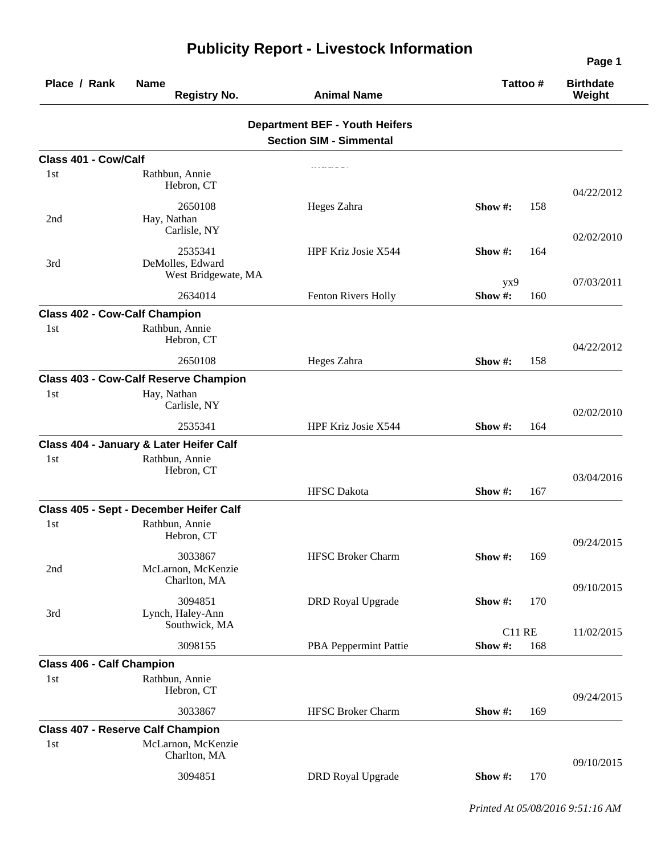| Place / Rank                         | <b>Name</b><br><b>Registry No.</b>                 | <b>Animal Name</b>                                                      | Tattoo#                 |     | <b>Birthdate</b><br>Weight |
|--------------------------------------|----------------------------------------------------|-------------------------------------------------------------------------|-------------------------|-----|----------------------------|
|                                      |                                                    | <b>Department BEF - Youth Heifers</b><br><b>Section SIM - Simmental</b> |                         |     |                            |
| Class 401 - Cow/Calf                 |                                                    |                                                                         |                         |     |                            |
| 1st                                  | Rathbun, Annie<br>Hebron, CT                       |                                                                         |                         |     | 04/22/2012                 |
| 2nd                                  | 2650108<br>Hay, Nathan<br>Carlisle, NY             | Heges Zahra                                                             | Show #:                 | 158 | 02/02/2010                 |
| 3rd                                  | 2535341<br>DeMolles, Edward<br>West Bridgewate, MA | HPF Kriz Josie X544                                                     | Show #:                 | 164 |                            |
|                                      | 2634014                                            | Fenton Rivers Holly                                                     | yx9<br>Show#:           | 160 | 07/03/2011                 |
| <b>Class 402 - Cow-Calf Champion</b> |                                                    |                                                                         |                         |     |                            |
| 1st                                  | Rathbun, Annie<br>Hebron, CT                       |                                                                         |                         |     | 04/22/2012                 |
|                                      | 2650108                                            | Heges Zahra                                                             | Show #:                 | 158 |                            |
|                                      | <b>Class 403 - Cow-Calf Reserve Champion</b>       |                                                                         |                         |     |                            |
| 1st                                  | Hay, Nathan<br>Carlisle, NY                        |                                                                         |                         |     | 02/02/2010                 |
|                                      | 2535341                                            | HPF Kriz Josie X544                                                     | Show #:                 | 164 |                            |
|                                      | Class 404 - January & Later Heifer Calf            |                                                                         |                         |     |                            |
| 1st                                  | Rathbun, Annie<br>Hebron, CT                       |                                                                         |                         |     | 03/04/2016                 |
|                                      |                                                    | <b>HFSC</b> Dakota                                                      | Show#:                  | 167 |                            |
|                                      | Class 405 - Sept - December Heifer Calf            |                                                                         |                         |     |                            |
| 1st                                  | Rathbun, Annie<br>Hebron, CT                       |                                                                         |                         |     | 09/24/2015                 |
| 2nd                                  | 3033867<br>McLarnon, McKenzie<br>Charlton, MA      | HFSC Broker Charm                                                       | Show#:                  | 169 |                            |
| 3rd                                  | 3094851<br>Lynch, Haley-Ann                        | <b>DRD</b> Royal Upgrade                                                | Show#:                  | 170 | 09/10/2015                 |
|                                      | Southwick, MA<br>3098155                           | PBA Peppermint Pattie                                                   | <b>C11 RE</b><br>Show#: | 168 | 11/02/2015                 |
| <b>Class 406 - Calf Champion</b>     |                                                    |                                                                         |                         |     |                            |
| 1st                                  | Rathbun, Annie<br>Hebron, CT                       |                                                                         |                         |     | 09/24/2015                 |
|                                      | 3033867                                            | <b>HFSC Broker Charm</b>                                                | Show #:                 | 169 |                            |
|                                      | <b>Class 407 - Reserve Calf Champion</b>           |                                                                         |                         |     |                            |
| 1st                                  | McLarnon, McKenzie<br>Charlton, MA                 |                                                                         |                         |     | 09/10/2015                 |
|                                      | 3094851                                            | <b>DRD</b> Royal Upgrade                                                | Show #:                 | 170 |                            |

## **Publicity Report - Livestock Information**

*Printed At 05/08/2016 9:51:16 AM*

**Page 1**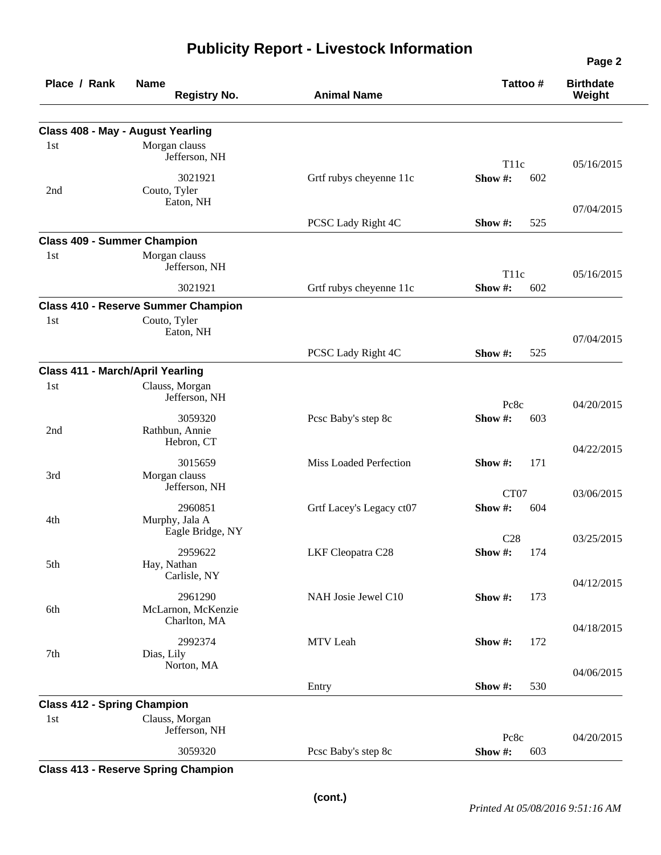|                                         |                                                                     |                          |                                    | Page 2                     |
|-----------------------------------------|---------------------------------------------------------------------|--------------------------|------------------------------------|----------------------------|
| Place / Rank                            | <b>Name</b><br><b>Registry No.</b>                                  | <b>Animal Name</b>       | Tattoo #                           | <b>Birthdate</b><br>Weight |
|                                         |                                                                     |                          |                                    |                            |
| 1st                                     | Class 408 - May - August Yearling<br>Morgan clauss<br>Jefferson, NH |                          |                                    |                            |
| 2nd                                     | 3021921<br>Couto, Tyler                                             | Grtf rubys cheyenne 11c  | T <sub>11c</sub><br>Show #:<br>602 | 05/16/2015                 |
|                                         | Eaton, NH                                                           | PCSC Lady Right 4C       | Show #:<br>525                     | 07/04/2015                 |
| <b>Class 409 - Summer Champion</b>      |                                                                     |                          |                                    |                            |
| 1st                                     | Morgan clauss<br>Jefferson, NH                                      |                          | T <sub>11c</sub>                   | 05/16/2015                 |
|                                         | 3021921                                                             | Grtf rubys cheyenne 11c  | Show#:<br>602                      |                            |
|                                         | <b>Class 410 - Reserve Summer Champion</b>                          |                          |                                    |                            |
| 1st                                     | Couto, Tyler<br>Eaton, NH                                           |                          |                                    | 07/04/2015                 |
|                                         |                                                                     | PCSC Lady Right 4C       | 525<br>Show $#$ :                  |                            |
| <b>Class 411 - March/April Yearling</b> |                                                                     |                          |                                    |                            |
| 1st                                     | Clauss, Morgan<br>Jefferson, NH                                     |                          | Pc8c                               | 04/20/2015                 |
| 2nd                                     | 3059320<br>Rathbun, Annie<br>Hebron, CT                             | Pcsc Baby's step 8c      | Show #:<br>603                     |                            |
| 3rd                                     | 3015659<br>Morgan clauss                                            | Miss Loaded Perfection   | Show #:<br>171                     | 04/22/2015                 |
|                                         | Jefferson, NH                                                       |                          | CT07                               | 03/06/2015                 |
| 4th                                     | 2960851<br>Murphy, Jala A                                           | Grtf Lacey's Legacy ct07 | Show #:<br>604                     |                            |
|                                         | Eagle Bridge, NY                                                    |                          | C28                                | 03/25/2015                 |
| 5th                                     | 2959622<br>Hay, Nathan<br>Carlisle, NY                              | LKF Cleopatra C28        | 174<br>Show #:                     |                            |
| 6th                                     | 2961290<br>McLarnon, McKenzie                                       | NAH Josie Jewel C10      | Show #:<br>173                     | 04/12/2015                 |
|                                         | Charlton, MA                                                        |                          |                                    | 04/18/2015                 |
| 7th                                     | 2992374<br>Dias, Lily<br>Norton, MA                                 | MTV Leah                 | Show #:<br>172                     |                            |
|                                         |                                                                     | Entry                    | 530<br>Show #:                     | 04/06/2015                 |
| <b>Class 412 - Spring Champion</b>      |                                                                     |                          |                                    |                            |
| 1st                                     | Clauss, Morgan<br>Jefferson, NH                                     |                          |                                    |                            |
|                                         | 3059320                                                             | Pcsc Baby's step 8c      | Pc8c<br>Show#:<br>603              | 04/20/2015                 |
|                                         |                                                                     |                          |                                    |                            |

**Publicity Report - Livestock Information**

**Class 413 - Reserve Spring Champion**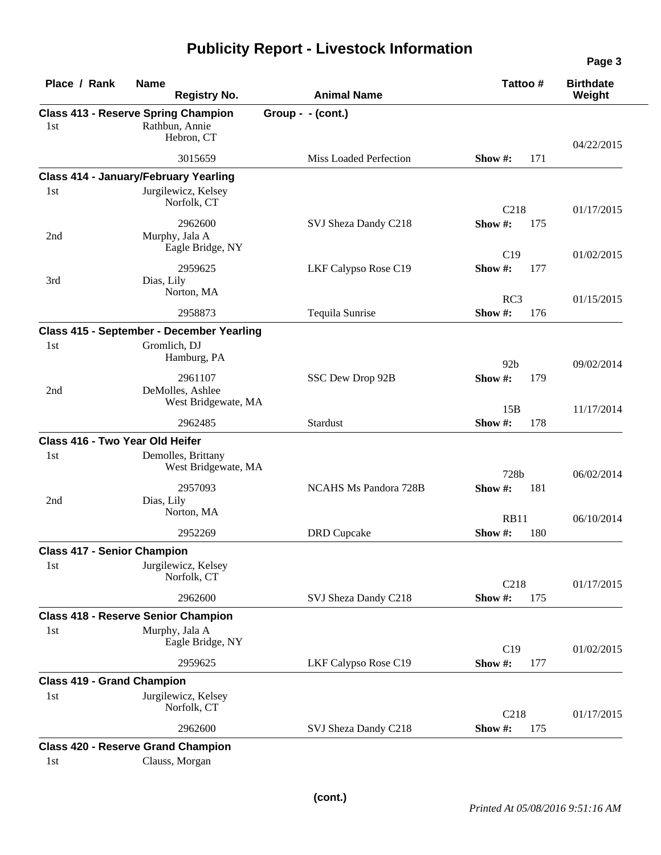| Place / Rank                       | <b>Name</b><br><b>Registry No.</b>                                         | <b>Animal Name</b>           | Tattoo#                       | <b>Birthdate</b><br>Weight |
|------------------------------------|----------------------------------------------------------------------------|------------------------------|-------------------------------|----------------------------|
| 1st                                | <b>Class 413 - Reserve Spring Champion</b><br>Rathbun, Annie<br>Hebron, CT | Group - $-(\text{cont.})$    |                               |                            |
|                                    | 3015659                                                                    | Miss Loaded Perfection       | 171<br>Show #:                | 04/22/2015                 |
|                                    | <b>Class 414 - January/February Yearling</b>                               |                              |                               |                            |
| 1st                                | Jurgilewicz, Kelsey<br>Norfolk, CT                                         |                              | C218                          | 01/17/2015                 |
| 2nd                                | 2962600<br>Murphy, Jala A<br>Eagle Bridge, NY                              | SVJ Sheza Dandy C218         | Show#:<br>175<br>C19          | 01/02/2015                 |
| 3rd                                | 2959625<br>Dias, Lily<br>Norton, MA                                        | LKF Calypso Rose C19         | Show#:<br>177                 |                            |
|                                    | 2958873                                                                    | Tequila Sunrise              | RC3<br>176<br>Show #:         | 01/15/2015                 |
|                                    | Class 415 - September - December Yearling                                  |                              |                               |                            |
| 1st                                | Gromlich, DJ<br>Hamburg, PA                                                |                              | 92 <sub>b</sub>               | 09/02/2014                 |
| 2nd                                | 2961107<br>DeMolles, Ashlee<br>West Bridgewate, MA                         | SSC Dew Drop 92B             | Show #:<br>179                |                            |
|                                    | 2962485                                                                    | Stardust                     | 15B<br>Show #:<br>178         | 11/17/2014                 |
| Class 416 - Two Year Old Heifer    |                                                                            |                              |                               |                            |
| 1st                                | Demolles, Brittany<br>West Bridgewate, MA                                  |                              | 728b                          | 06/02/2014                 |
| 2nd                                | 2957093<br>Dias, Lily<br>Norton, MA                                        | <b>NCAHS Ms Pandora 728B</b> | Show #:<br>181                |                            |
|                                    | 2952269                                                                    | <b>DRD</b> Cupcake           | <b>RB11</b><br>Show #:<br>180 | 06/10/2014                 |
| <b>Class 417 - Senior Champion</b> |                                                                            |                              |                               |                            |
| 1st                                | Jurgilewicz, Kelsey<br>Norfolk, CT                                         |                              | C218                          | 01/17/2015                 |
|                                    | 2962600                                                                    | SVJ Sheza Dandy C218         | Show#:<br>175                 |                            |
|                                    | <b>Class 418 - Reserve Senior Champion</b>                                 |                              |                               |                            |
| 1st                                | Murphy, Jala A<br>Eagle Bridge, NY                                         |                              | C19                           | 01/02/2015                 |
|                                    | 2959625                                                                    | LKF Calypso Rose C19         | Show #:<br>177                |                            |
| <b>Class 419 - Grand Champion</b>  |                                                                            |                              |                               |                            |
| 1st                                | Jurgilewicz, Kelsey<br>Norfolk, CT                                         |                              | C218                          | 01/17/2015                 |
|                                    | 2962600                                                                    | SVJ Sheza Dandy C218         | Show #:<br>175                |                            |
|                                    | <b>Class 420 - Reserve Grand Champion</b>                                  |                              |                               |                            |
| 1st                                | Clauss, Morgan                                                             |                              |                               |                            |

## **Publicity Report - Livestock Information**

**Page 3**